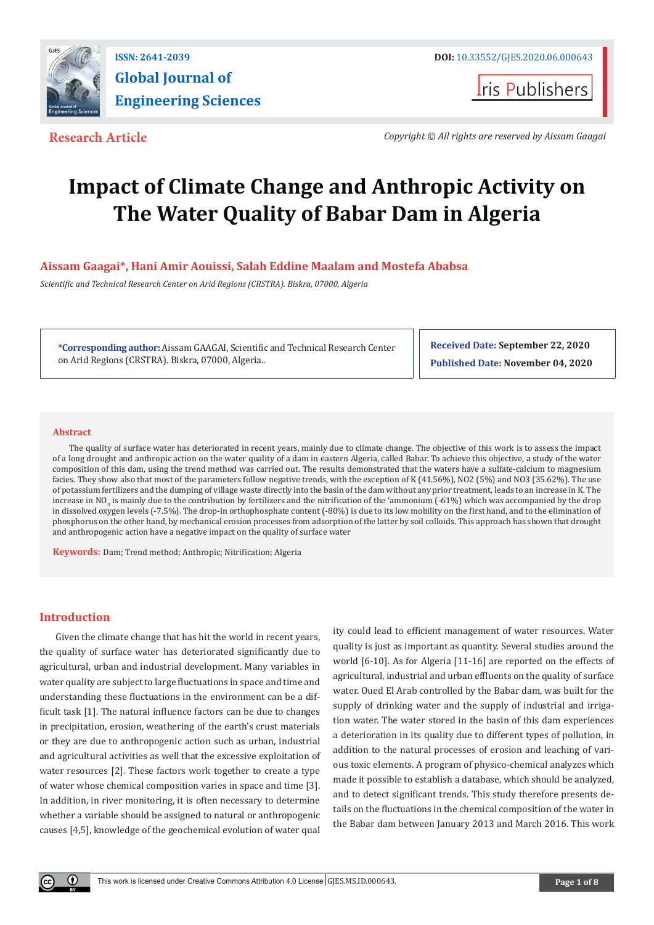

**Iris Publishers** 

**Research Article** *Copyright © All rights are reserved by Aissam Gaagai*

# **Impact of Climate Change and Anthropic Activity on The Water Quality of Babar Dam in Algeria**

# **Aissam Gaagai\*, Hani Amir Aouissi, Salah Eddine Maalam and Mostefa Ababsa**

*Scientific and Technical Research Center on Arid Regions (CRSTRA). Biskra, 07000, Algeria*

**\*Corresponding author:** Aissam GAAGAI, Scientific and Technical Research Center on Arid Regions (CRSTRA). Biskra, 07000, Algeria..

**Received Date: September 22, 2020 Published Date: November 04, 2020**

# **Abstract**

The quality of surface water has deteriorated in recent years, mainly due to climate change. The objective of this work is to assess the impact of a long drought and anthropic action on the water quality of a dam in eastern Algeria, called Babar. To achieve this objective, a study of the water composition of this dam, using the trend method was carried out. The results demonstrated that the waters have a sulfate-calcium to magnesium facies. They show also that most of the parameters follow negative trends, with the exception of K (41.56%), NO2 (5%) and NO3 (35.62%). The use of potassium fertilizers and the dumping of village waste directly into the basin of the dam without any prior treatment, leads to an increase in K. The increase in NO<sub>3</sub> is mainly due to the contribution by fertilizers and the nitrification of the 'ammonium (-61%) which was accompanied by the drop in dissolved oxygen levels (-7.5%). The drop-in orthophosphate content (-80%) is due to its low mobility on the first hand, and to the elimination of phosphorus on the other hand, by mechanical erosion processes from adsorption of the latter by soil colloids. This approach has shown that drought and anthropogenic action have a negative impact on the quality of surface water

**Keywords:** Dam; Trend method; Anthropic; Nitrification; Algeria

# **Introduction**

Given the climate change that has hit the world in recent years, the quality of surface water has deteriorated significantly due to agricultural, urban and industrial development. Many variables in water quality are subject to large fluctuations in space and time and understanding these fluctuations in the environment can be a difficult task [1]. The natural influence factors can be due to changes in precipitation, erosion, weathering of the earth's crust materials or they are due to anthropogenic action such as urban, industrial and agricultural activities as well that the excessive exploitation of water resources [2]. These factors work together to create a type of water whose chemical composition varies in space and time [3]. In addition, in river monitoring, it is often necessary to determine whether a variable should be assigned to natural or anthropogenic causes [4,5], knowledge of the geochemical evolution of water qual

ity could lead to efficient management of water resources. Water quality is just as important as quantity. Several studies around the world [6-10]. As for Algeria [11-16] are reported on the effects of agricultural, industrial and urban effluents on the quality of surface water. Oued El Arab controlled by the Babar dam, was built for the supply of drinking water and the supply of industrial and irrigation water. The water stored in the basin of this dam experiences a deterioration in its quality due to different types of pollution, in addition to the natural processes of erosion and leaching of various toxic elements. A program of physico-chemical analyzes which made it possible to establish a database, which should be analyzed, and to detect significant trends. This study therefore presents details on the fluctuations in the chemical composition of the water in the Babar dam between January 2013 and March 2016. This work

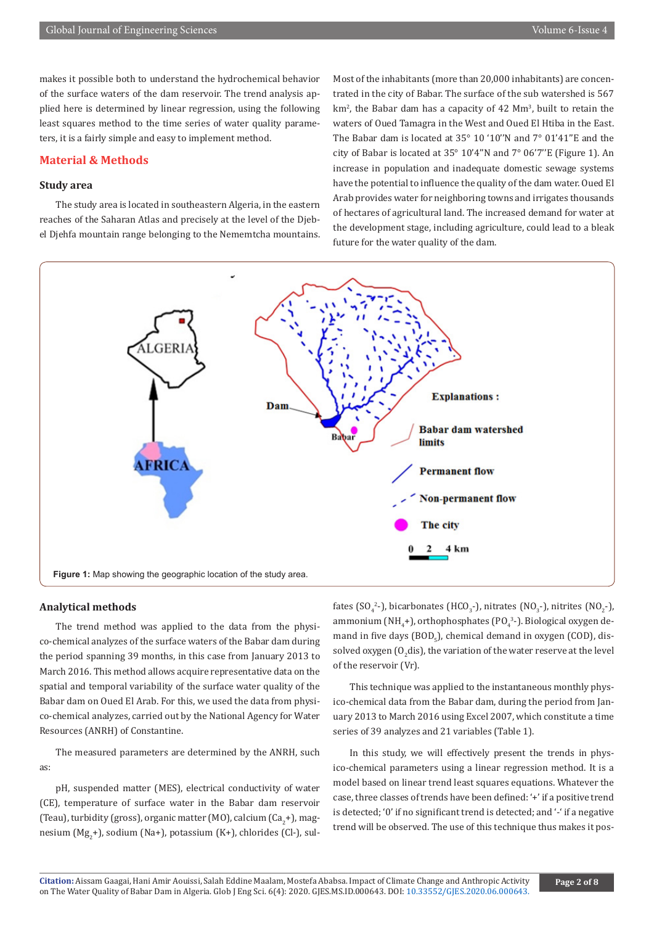makes it possible both to understand the hydrochemical behavior of the surface waters of the dam reservoir. The trend analysis applied here is determined by linear regression, using the following least squares method to the time series of water quality parameters, it is a fairly simple and easy to implement method.

# **Material & Methods**

# **Study area**

The study area is located in southeastern Algeria, in the eastern reaches of the Saharan Atlas and precisely at the level of the Djebel Djehfa mountain range belonging to the Nememtcha mountains. Most of the inhabitants (more than 20,000 inhabitants) are concentrated in the city of Babar. The surface of the sub watershed is 567 km<sup>2</sup>, the Babar dam has a capacity of 42 Mm<sup>3</sup>, built to retain the waters of Oued Tamagra in the West and Oued El Htiba in the East. The Babar dam is located at 35° 10 '10''N and 7° 01'41''E and the city of Babar is located at 35° 10'4''N and 7° 06'7''E (Figure 1). An increase in population and inadequate domestic sewage systems have the potential to influence the quality of the dam water. Oued El Arab provides water for neighboring towns and irrigates thousands of hectares of agricultural land. The increased demand for water at the development stage, including agriculture, could lead to a bleak future for the water quality of the dam.



# **Analytical methods**

The trend method was applied to the data from the physico-chemical analyzes of the surface waters of the Babar dam during the period spanning 39 months, in this case from January 2013 to March 2016. This method allows acquire representative data on the spatial and temporal variability of the surface water quality of the Babar dam on Oued El Arab. For this, we used the data from physico-chemical analyzes, carried out by the National Agency for Water Resources (ANRH) of Constantine.

The measured parameters are determined by the ANRH, such as:

pH, suspended matter (MES), electrical conductivity of water (CE), temperature of surface water in the Babar dam reservoir (Teau), turbidity (gross), organic matter (MO), calcium (Ca<sub>2</sub>+), magnesium (Mg<sub>2</sub>+), sodium (Na+), potassium (K+), chlorides (Cl-), sulfates (SO<sub>4</sub><sup>2</sup>-), bicarbonates (HCO<sub>3</sub>-), nitrates (NO<sub>3</sub>-), nitrites (NO<sub>2</sub>-), ammonium (NH<sub>4</sub>+), orthophosphates (PO $_4^{3}$ -). Biological oxygen demand in five days (BOD<sub>5</sub>), chemical demand in oxygen (COD), dissolved oxygen (O $_2$ dis), the variation of the water reserve at the level of the reservoir (Vr).

This technique was applied to the instantaneous monthly physico-chemical data from the Babar dam, during the period from January 2013 to March 2016 using Excel 2007, which constitute a time series of 39 analyzes and 21 variables (Table 1).

In this study, we will effectively present the trends in physico-chemical parameters using a linear regression method. It is a model based on linear trend least squares equations. Whatever the case, three classes of trends have been defined: '+' if a positive trend is detected; '0' if no significant trend is detected; and '-' if a negative trend will be observed. The use of this technique thus makes it pos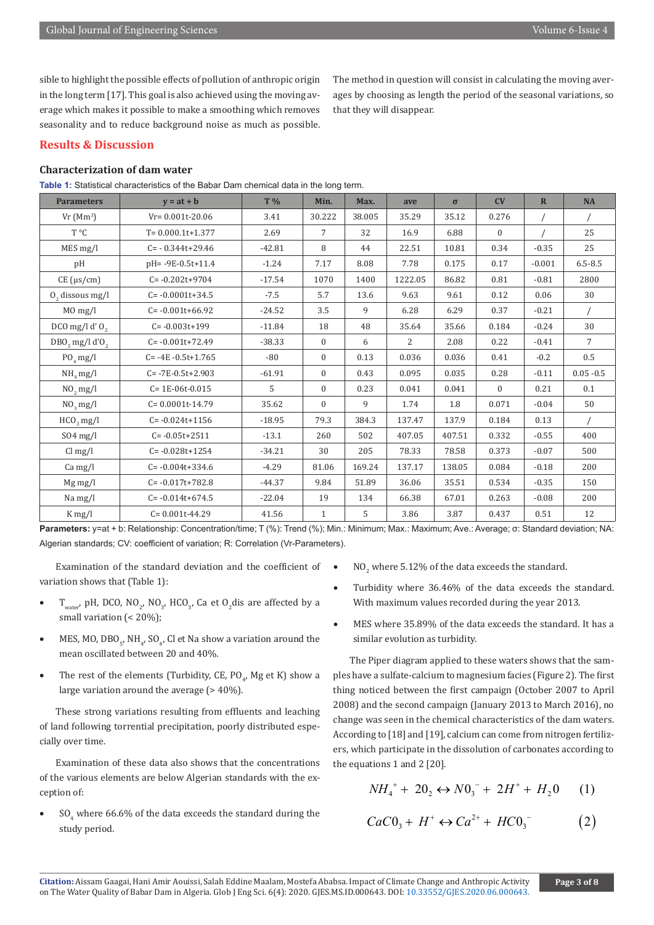sible to highlight the possible effects of pollution of anthropic origin in the long term [17]. This goal is also achieved using the moving average which makes it possible to make a smoothing which removes seasonality and to reduce background noise as much as possible. The method in question will consist in calculating the moving averages by choosing as length the period of the seasonal variations, so that they will disappear.

# **Results & Discussion**

# **Characterization of dam water**

**Table 1:** Statistical characteristics of the Babar Dam chemical data in the long term.

| <b>Parameters</b>            | $v = at + b$             | T %      | Min.           | Max.   | ave            | $\sigma$ | CV           | $\mathbb{R}$ | <b>NA</b>      |
|------------------------------|--------------------------|----------|----------------|--------|----------------|----------|--------------|--------------|----------------|
| $Vr(Mm^3)$                   | $Vr = 0.001t - 20.06$    | 3.41     | 30.222         | 38.005 | 35.29          | 35.12    | 0.276        | $\sqrt{2}$   |                |
| T °C                         | $T = 0.000.1t+1.377$     | 2.69     | $\overline{7}$ | 32     | 16.9           | 6.88     | $\mathbf{0}$ | $\sqrt{2}$   | 25             |
| MES mg/l                     | $C = -0.344t+29.46$      | $-42.81$ | 8              | 44     | 22.51          | 10.81    | 0.34         | $-0.35$      | 25             |
| pH                           | pH=-9E-0.5t+11.4         | $-1.24$  | 7.17           | 8.08   | 7.78           | 0.175    | 0.17         | $-0.001$     | $6.5 - 8.5$    |
| $CE$ ( $\mu s/cm$ )          | $C = -0.202t + 9704$     | $-17.54$ | 1070           | 1400   | 1222.05        | 86.82    | 0.81         | $-0.81$      | 2800           |
| $0$ , dissous mg/l           | $C = -0.0001t + 34.5$    | $-7.5$   | 5.7            | 13.6   | 9.63           | 9.61     | 0.12         | 0.06         | 30             |
| MO mg/l                      | $C = -0.001t + 66.92$    | $-24.52$ | 3.5            | 9      | 6.28           | 6.29     | 0.37         | $-0.21$      | $\sqrt{2}$     |
| DCO mg/l d' $O2$             | $C = -0.003t + 199$      | $-11.84$ | 18             | 48     | 35.64          | 35.66    | 0.184        | $-0.24$      | 30             |
| $DBO5$ mg/l d'O <sub>2</sub> | $C = -0.001t+72.49$      | $-38.33$ | $\mathbf{0}$   | 6      | $\overline{2}$ | 2.08     | 0.22         | $-0.41$      | $\overline{7}$ |
| $PO_4$ mg/l                  | $C = -4E - 0.5t + 1.765$ | -80      | $\mathbf{0}$   | 0.13   | 0.036          | 0.036    | 0.41         | $-0.2$       | 0.5            |
| $NH4$ mg/l                   | $C = -7E - 0.5t + 2.903$ | $-61.91$ | $\Omega$       | 0.43   | 0.095          | 0.035    | 0.28         | $-0.11$      | $0.05 - 0.5$   |
| $NO2$ mg/l                   | $C = 1E-06t-0.015$       | 5        | $\Omega$       | 0.23   | 0.041          | 0.041    | $\Omega$     | 0.21         | 0.1            |
| $NO3$ mg/l                   | $C = 0.0001t - 14.79$    | 35.62    | $\Omega$       | 9      | 1.74           | 1.8      | 0.071        | $-0.04$      | 50             |
| $HCO3$ mg/l                  | $C = -0.024t + 1156$     | $-18.95$ | 79.3           | 384.3  | 137.47         | 137.9    | 0.184        | 0.13         |                |
| $SO4$ mg/l                   | $C = -0.05t + 2511$      | $-13.1$  | 260            | 502    | 407.05         | 407.51   | 0.332        | $-0.55$      | 400            |
| $Cl$ mg/l                    | $C = -0.028t + 1254$     | $-34.21$ | 30             | 205    | 78.33          | 78.58    | 0.373        | $-0.07$      | 500            |
| $Ca$ mg/l                    | $C = -0.004t + 334.6$    | $-4.29$  | 81.06          | 169.24 | 137.17         | 138.05   | 0.084        | $-0.18$      | 200            |
| Mg mg/l                      | $C = -0.017t + 782.8$    | $-44.37$ | 9.84           | 51.89  | 36.06          | 35.51    | 0.534        | $-0.35$      | 150            |
| Na mg/l                      | $C = -0.014t+674.5$      | $-22.04$ | 19             | 134    | 66.38          | 67.01    | 0.263        | $-0.08$      | 200            |
| $K \, mg/l$                  | $C = 0.001t - 44.29$     | 41.56    | $\mathbf{1}$   | 5      | 3.86           | 3.87     | 0.437        | 0.51         | 12             |

**Parameters:** y=at + b: Relationship: Concentration/time; T (%): Trend (%); Min.: Minimum; Max.: Maximum; Ave.: Average; σ: Standard deviation; NA: Algerian standards; CV: coefficient of variation; R: Correlation (Vr-Parameters).

Examination of the standard deviation and the coefficient of variation shows that (Table 1):

- T<sub>water</sub>, pH, DCO, NO<sub>2</sub>, NO<sub>3</sub>, HCO<sub>3</sub>, Ca et O<sub>2</sub>dis are affected by a small variation (< 20%);
- MES, MO,  $DBO_5$ , NH<sub>4</sub>, SO<sub>4</sub>, Cl et Na show a variation around the mean oscillated between 20 and 40%.
- The rest of the elements (Turbidity, CE,  $PO_{4}$ , Mg et K) show a large variation around the average  $(>40\%)$ .

These strong variations resulting from effluents and leaching of land following torrential precipitation, poorly distributed especially over time.

Examination of these data also shows that the concentrations of the various elements are below Algerian standards with the exception of:

• SO<sub>4</sub> where 66.6% of the data exceeds the standard during the study period.

- $NO<sub>2</sub>$  where 5.12% of the data exceeds the standard.
- Turbidity where 36.46% of the data exceeds the standard. With maximum values recorded during the year 2013.
- MES where 35.89% of the data exceeds the standard. It has a similar evolution as turbidity.

The Piper diagram applied to these waters shows that the samples have a sulfate-calcium to magnesium facies (Figure 2). The first thing noticed between the first campaign (October 2007 to April 2008) and the second campaign (January 2013 to March 2016), no change was seen in the chemical characteristics of the dam waters. According to [18] and [19], calcium can come from nitrogen fertilizers, which participate in the dissolution of carbonates according to the equations 1 and 2 [20].

$$
NH_4^+ + 20_2 \leftrightarrow NO_3^- + 2H^+ + H_20 \tag{1}
$$

$$
CaCO3 + H+ \leftrightarrow Ca2+ + HCO3- (2)
$$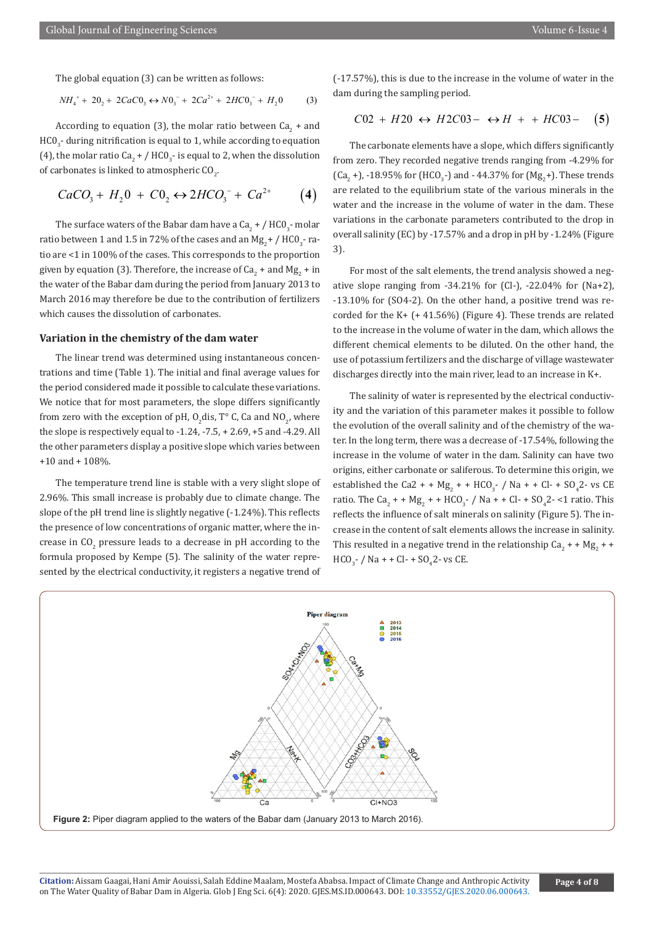The global equation (3) can be written as follows:

$$
NH_4^+ + 20_2 + 2CaCO_3 \leftrightarrow NO_3^- + 2Ca^{2+} + 2HCO_3^- + H_20
$$
 (3)

According to equation (3), the molar ratio between  $Ca_{2}$  + and  $HCO_{3}$ - during nitrification is equal to 1, while according to equation (4), the molar ratio Ca<sub>2</sub> + / HCO<sub>3</sub>- is equal to 2, when the dissolution of carbonates is linked to atmospheric  $\mathsf{CO}_{2}$ .

$$
CaCO_3 + H_2 0 + C0_2 \leftrightarrow 2HCO_3^- + Ca^{2+} \tag{4}
$$

The surface waters of the Babar dam have a Ca<sub>2</sub> + /  $\rm{HCO}_{3}$ - molar ratio between 1 and 1.5 in 72% of the cases and an Mg<sub>2</sub> + / HCO<sub>3</sub>- ratio are <1 in 100% of the cases. This corresponds to the proportion given by equation (3). Therefore, the increase of Ca<sub>2</sub> + and Mg<sub>2</sub> + in the water of the Babar dam during the period from January 2013 to March 2016 may therefore be due to the contribution of fertilizers which causes the dissolution of carbonates.

#### **Variation in the chemistry of the dam water**

The linear trend was determined using instantaneous concentrations and time (Table 1). The initial and final average values for the period considered made it possible to calculate these variations. We notice that for most parameters, the slope differs significantly from zero with the exception of pH,  $O_2$ dis, T° C, Ca and N $O_2$ , where the slope is respectively equal to -1.24, -7.5, + 2.69, +5 and -4.29. All the other parameters display a positive slope which varies between +10 and + 108%.

The temperature trend line is stable with a very slight slope of 2.96%. This small increase is probably due to climate change. The slope of the pH trend line is slightly negative (-1.24%). This reflects the presence of low concentrations of organic matter, where the increase in  $CO_2$  pressure leads to a decrease in pH according to the formula proposed by Kempe (5). The salinity of the water represented by the electrical conductivity, it registers a negative trend of (-17.57%), this is due to the increase in the volume of water in the dam during the sampling period.

$$
C02 + H20 \leftrightarrow H2C03 - \leftrightarrow H + + HC03 - \quad (5)
$$

The carbonate elements have a slope, which differs significantly from zero. They recorded negative trends ranging from -4.29% for (Ca<sub>2</sub> +), -18.95% for (HCO<sub>3</sub>-) and - 44.37% for (Mg<sub>2</sub>+). These trends are related to the equilibrium state of the various minerals in the water and the increase in the volume of water in the dam. These variations in the carbonate parameters contributed to the drop in overall salinity (EC) by -17.57% and a drop in pH by -1.24% (Figure 3).

For most of the salt elements, the trend analysis showed a negative slope ranging from  $-34.21\%$  for (Cl-),  $-22.04\%$  for (Na+2), -13.10% for (SO4-2). On the other hand, a positive trend was recorded for the K+ (+ 41.56%) (Figure 4). These trends are related to the increase in the volume of water in the dam, which allows the different chemical elements to be diluted. On the other hand, the use of potassium fertilizers and the discharge of village wastewater discharges directly into the main river, lead to an increase in K+.

The salinity of water is represented by the electrical conductivity and the variation of this parameter makes it possible to follow the evolution of the overall salinity and of the chemistry of the water. In the long term, there was a decrease of -17.54%, following the increase in the volume of water in the dam. Salinity can have two origins, either carbonate or saliferous. To determine this origin, we established the Ca2 + +  $Mg_2$  + + HCO<sub>3</sub>- / Na + + Cl- + SO<sub>4</sub>2- vs CE ratio. The Ca<sub>2</sub> + + Mg<sub>2</sub> + + HCO<sub>3</sub>- / Na + + Cl- + SO<sub>4</sub>2- <1 ratio. This reflects the influence of salt minerals on salinity (Figure 5). The increase in the content of salt elements allows the increase in salinity. This resulted in a negative trend in the relationship  $\text{Ca}_2$  + +  $\text{Mg}_2$  + +  $HCO_{3}^{-}$  / Na + + Cl- + SO<sub>4</sub>2- vs CE.

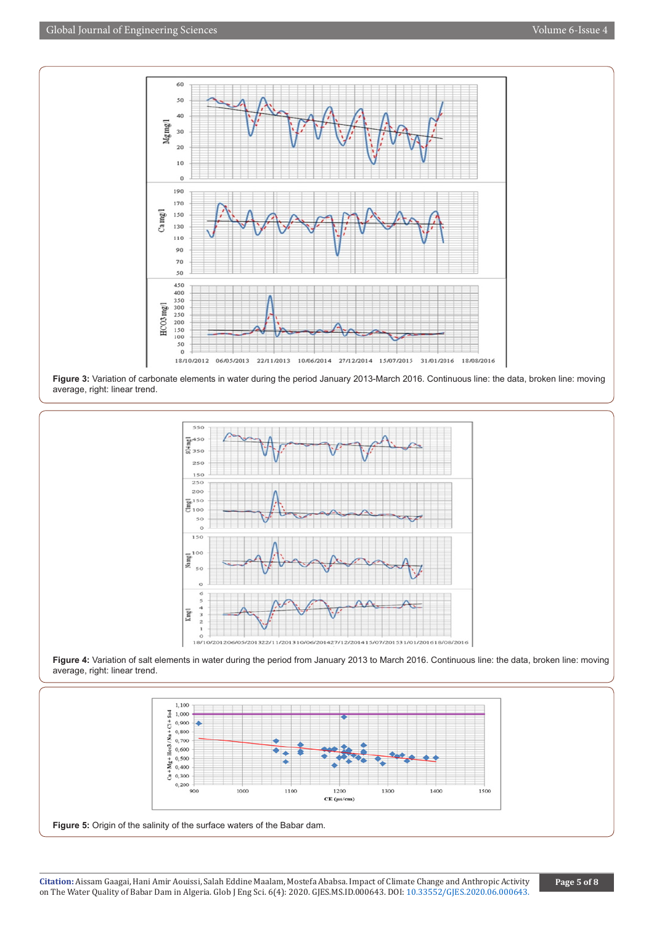

**Figure 3:** Variation of carbonate elements in water during the period January 2013-March 2016. Continuous line: the data, broken line: moving average, right: linear trend.







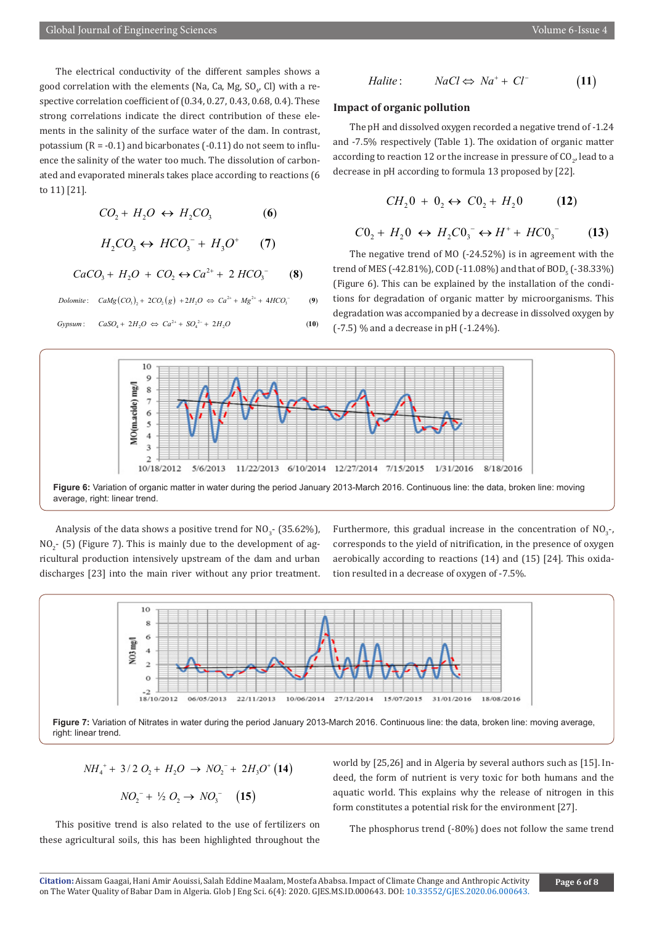The electrical conductivity of the different samples shows a good correlation with the elements (Na, Ca, Mg,  $\text{SO}_{\mathit{4}'}$  CI) with a respective correlation coefficient of (0.34, 0.27, 0.43, 0.68, 0.4). These strong correlations indicate the direct contribution of these elements in the salinity of the surface water of the dam. In contrast, potassium  $(R = -0.1)$  and bicarbonates  $(-0.11)$  do not seem to influence the salinity of the water too much. The dissolution of carbonated and evaporated minerals takes place according to reactions (6 to 11) [21].

$$
CO_2 + H_2O \leftrightarrow H_2CO_3 \tag{6}
$$

$$
H_2CO_3 \leftrightarrow HCO_3^- + H_3O^+ \qquad (7)
$$
  
\n
$$
CaCO_3 + H_2O + CO_2 \leftrightarrow Ca^{2+} + 2 HCO_3^- \qquad (8)
$$

 $\text{Dolomite:} \quad \text{CaMg}\left(\text{CO}_3\right)_2 + 2\text{CO}_2\left(\text{g}\right) + 2H_2O \Leftrightarrow \text{Ca}^{2+} + \text{Mg}^{2+} + 4\text{HCO}_3^-$  (9)

 $Gypsum: \quad CaSO_4 + 2H_2O \Leftrightarrow Ca^{2+} + SO_4^{2-} + 2H_2O$  (10)

$$
\deg
$$

$$
Halite: NaCl \Leftrightarrow Na^+ + Cl^-
$$
 (11)

# **Impact of organic pollution**

The pH and dissolved oxygen recorded a negative trend of -1.24 and -7.5% respectively (Table 1). The oxidation of organic matter according to reaction 12 or the increase in pressure of CO<sub>2</sub>, lead to a decrease in pH according to formula 13 proposed by [22].

$$
CH_2 0 + 0_2 \leftrightarrow CO_2 + H_2 0 \tag{12}
$$

$$
C0_2 + H_2 0 \leftrightarrow H_2 C0_3^- \leftrightarrow H^+ + HCO_3^- \tag{13}
$$

The negative trend of MO (-24.52%) is in agreement with the trend of MES (-42.81%), COD (-11.08%) and that of BOD<sub>5</sub> (-38.33%) (Figure 6). This can be explained by the installation of the conditions for degradation of organic matter by microorganisms. This gradation was accompanied by a decrease in dissolved oxygen by (-7.5) % and a decrease in pH (-1.24%).



**Figure 6:** Variation of organic matter in water during the period January 2013-March 2016. Continuous line: the data, broken line: moving average, right: linear trend.

Analysis of the data shows a positive trend for  $\rm NO_3^{\text{-}}$  (35.62%),  $NO<sub>2</sub>$ - (5) (Figure 7). This is mainly due to the development of agricultural production intensively upstream of the dam and urban discharges [23] into the main river without any prior treatment.

Furthermore, this gradual increase in the concentration of  $NO<sub>3</sub>$ -, corresponds to the yield of nitrification, in the presence of oxygen aerobically according to reactions (14) and (15) [24]. This oxidation resulted in a decrease of oxygen of -7.5%.



**Figure 7:** Variation of Nitrates in water during the period January 2013-March 2016. Continuous line: the data, broken line: moving average, right: linear trend.

$$
NH_{4}^+ + 3/2 O_2 + H_2O \rightarrow NO_2^- + 2H_3O^+(14)
$$

$$
NO_2^- + \frac{1}{2}O_2 \to NO_3^- \quad (15)
$$

This positive trend is also related to the use of fertilizers on these agricultural soils, this has been highlighted throughout the world by [25,26] and in Algeria by several authors such as [15]. Indeed, the form of nutrient is very toxic for both humans and the aquatic world. This explains why the release of nitrogen in this form constitutes a potential risk for the environment [27].

The phosphorus trend (-80%) does not follow the same trend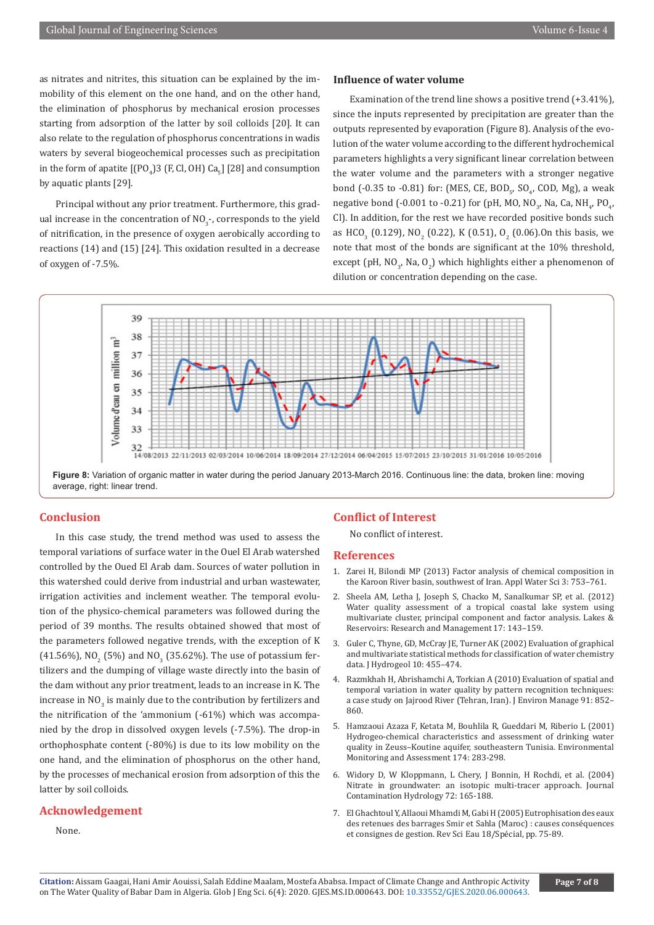as nitrates and nitrites, this situation can be explained by the immobility of this element on the one hand, and on the other hand, the elimination of phosphorus by mechanical erosion processes starting from adsorption of the latter by soil colloids [20]. It can also relate to the regulation of phosphorus concentrations in wadis waters by several biogeochemical processes such as precipitation in the form of apatite  $\lfloor [PO_4]3$  (F, Cl, OH) Ca<sub>5</sub>] [28] and consumption by aquatic plants [29].

Principal without any prior treatment. Furthermore, this gradual increase in the concentration of  $\text{NO}_3$ -, corresponds to the yield of nitrification, in the presence of oxygen aerobically according to reactions (14) and (15) [24]. This oxidation resulted in a decrease of oxygen of -7.5%.

#### **Influence of water volume**

Examination of the trend line shows a positive trend  $(+3.41\%)$ . since the inputs represented by precipitation are greater than the outputs represented by evaporation (Figure 8). Analysis of the evolution of the water volume according to the different hydrochemical parameters highlights a very significant linear correlation between the water volume and the parameters with a stronger negative bond  $(-0.35 \text{ to } -0.81)$  for: (MES, CE, BOD<sub>5</sub>, SO<sub>4</sub>, COD, Mg), a weak negative bond (-0.001 to -0.21) for (pH, MO, NO<sub>3</sub>, Na, Ca, NH<sub>4</sub>, PO<sub>4</sub>, Cl). In addition, for the rest we have recorded positive bonds such as HCO<sub>3</sub> (0.129), NO<sub>2</sub> (0.22), K (0.51), O<sub>2</sub> (0.06).On this basis, we note that most of the bonds are significant at the 10% threshold, except (pH, NO<sub>3</sub>, Na, O<sub>2</sub>) which highlights either a phenomenon of dilution or concentration depending on the case.



# **Conclusion**

In this case study, the trend method was used to assess the temporal variations of surface water in the Ouel El Arab watershed controlled by the Oued El Arab dam. Sources of water pollution in this watershed could derive from industrial and urban wastewater, irrigation activities and inclement weather. The temporal evolution of the physico-chemical parameters was followed during the period of 39 months. The results obtained showed that most of the parameters followed negative trends, with the exception of K (41.56%), NO<sub>2</sub> (5%) and NO<sub>3</sub> (35.62%). The use of potassium fertilizers and the dumping of village waste directly into the basin of the dam without any prior treatment, leads to an increase in K. The increase in  $\mathsf{NO}_3$  is mainly due to the contribution by fertilizers and the nitrification of the 'ammonium (-61%) which was accompanied by the drop in dissolved oxygen levels (-7.5%). The drop-in orthophosphate content (-80%) is due to its low mobility on the one hand, and the elimination of phosphorus on the other hand, by the processes of mechanical erosion from adsorption of this the latter by soil colloids.

# **Acknowledgement**

## None.

### **Conflict of Interest**

No conflict of interest.

# **References**

- 1. [Zarei H, Bilondi MP \(2013\) Factor analysis of chemical composition in](https://link.springer.com/article/10.1007/s13201-013-0123-0) [the Karoon River basin, southwest of Iran. Appl Water Sci 3: 753–761.](https://link.springer.com/article/10.1007/s13201-013-0123-0)
- 2. [Sheela AM, Letha J, Joseph S, Chacko M, Sanalkumar SP, et al. \(2012\)](https://onlinelibrary.wiley.com/doi/abs/10.1111/j.1440-1770.2012.00506.x) [Water quality assessment of a tropical coastal lake system using](https://onlinelibrary.wiley.com/doi/abs/10.1111/j.1440-1770.2012.00506.x) [multivariate cluster, principal component and factor analysis. Lakes &](https://onlinelibrary.wiley.com/doi/abs/10.1111/j.1440-1770.2012.00506.x) [Reservoirs: Research and Management 17: 143–159.](https://onlinelibrary.wiley.com/doi/abs/10.1111/j.1440-1770.2012.00506.x)
- 3. [Guler C, Thyne, GD, McCray JE, Turner AK \(2002\) Evaluation of graphical](https://link.springer.com/article/10.1007/s10040-002-0196-6) [and multivariate statistical methods for classification of water chemistry](https://link.springer.com/article/10.1007/s10040-002-0196-6) [data. J Hydrogeol 10: 455–474.](https://link.springer.com/article/10.1007/s10040-002-0196-6)
- 4. Razmkhah H, Abrishamchi A, Torkian A (2010) Evaluation of spatial and temporal variation in water quality by pattern recognition techniques: a case study on Jajrood River (Tehran, Iran). J Environ Manage 91: 852– 860.
- 5. [Hamzaoui Azaza F, Ketata M, Bouhlila R, Gueddari M, Riberio L \(2001\)](https://europepmc.org/article/med/20437266) [Hydrogeo-chemical characteristics and assessment of drinking water](https://europepmc.org/article/med/20437266) [quality in Zeuss–Koutine aquifer, southeastern Tunisia. Environmental](https://europepmc.org/article/med/20437266) [Monitoring and Assessment 174: 283-298.](https://europepmc.org/article/med/20437266)
- 6. [Widory D, W Kloppmann, L Chery, J Bonnin, H Rochdi, et al. \(2004\)](https://pubmed.ncbi.nlm.nih.gov/15240171/) [Nitrate in groundwater: an isotopic multi-tracer approach. Journal](https://pubmed.ncbi.nlm.nih.gov/15240171/) [Contamination Hydrology 72: 165-188.](https://pubmed.ncbi.nlm.nih.gov/15240171/)
- 7. El Ghachtoul Y, Allaoui Mhamdi M, Gabi H (2005) Eutrophisation des eaux des retenues des barrages Smir et Sahla (Maroc) : causes conséquences et consignes de gestion. Rev Sci Eau 18/Spécial, pp. 75-89.